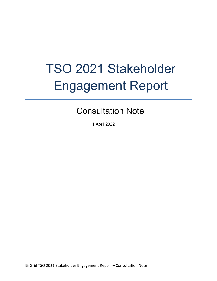## TSO 2021 Stakeholder Engagement Report

## Consultation Note

1 April 2022

EirGrid TSO 2021 Stakeholder Engagement Report – Consultation Note